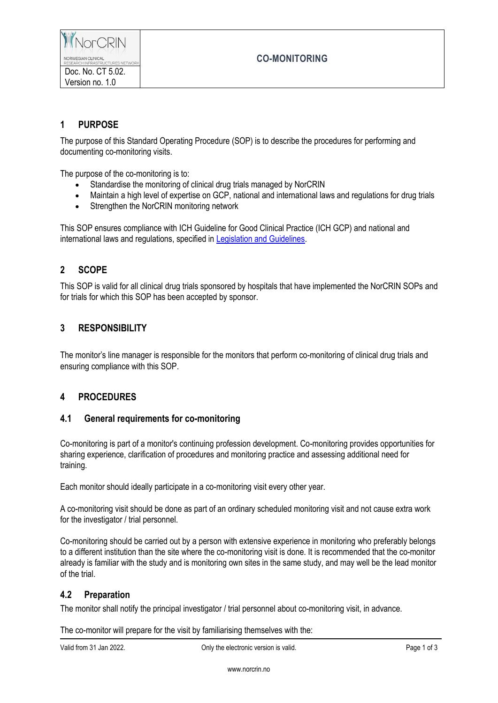

Doc. No. CT 5.02. Version no. 1.0

# **CO-MONITORING**

### **1 PURPOSE**

The purpose of this Standard Operating Procedure (SOP) is to describe the procedures for performing and documenting co-monitoring visits.

The purpose of the co-monitoring is to:

- Standardise the monitoring of clinical drug trials managed by NorCRIN
- Maintain a high level of expertise on GCP, national and international laws and regulations for drug trials
- Strengthen the NorCRIN monitoring network

This SOP ensures compliance with ICH Guideline for Good Clinical Practice (ICH GCP) and national and international laws and regulations, specified i[n Legislation and Guidelines.](https://www.norcrin.no/documents/2022/01/ct-1-02-legislation-and-guidelines.docx/)

### **2 SCOPE**

This SOP is valid for all clinical drug trials sponsored by hospitals that have implemented the NorCRIN SOPs and for trials for which this SOP has been accepted by sponsor.

### **3 RESPONSIBILITY**

The monitor's line manager is responsible for the monitors that perform co-monitoring of clinical drug trials and ensuring compliance with this SOP.

# **4 PROCEDURES**

#### **4.1 General requirements for co-monitoring**

Co-monitoring is part of a monitor's continuing profession development. Co-monitoring provides opportunities for sharing experience, clarification of procedures and monitoring practice and assessing additional need for training.

Each monitor should ideally participate in a co-monitoring visit every other year.

A co-monitoring visit should be done as part of an ordinary scheduled monitoring visit and not cause extra work for the investigator / trial personnel.

Co-monitoring should be carried out by a person with extensive experience in monitoring who preferably belongs to a different institution than the site where the co-monitoring visit is done. It is recommended that the co-monitor already is familiar with the study and is monitoring own sites in the same study, and may well be the lead monitor of the trial.

#### **4.2 Preparation**

The monitor shall notify the principal investigator / trial personnel about co-monitoring visit, in advance.

The co-monitor will prepare for the visit by familiarising themselves with the:

Valid from 31 Jan 2022. Child the electronic version is valid. Page 1 of 3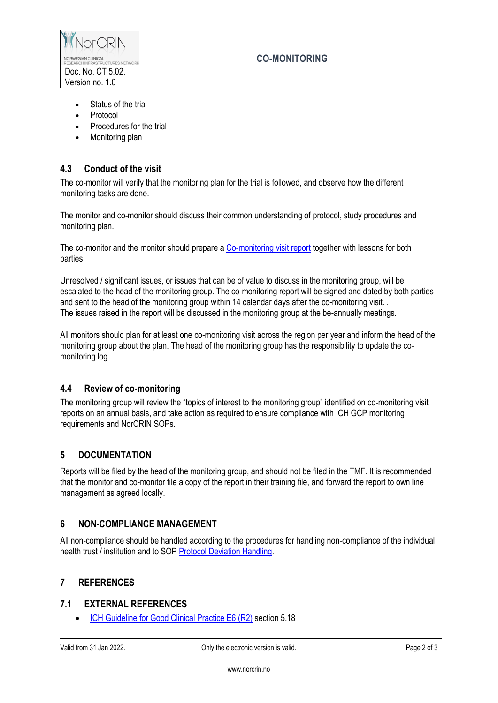

# **CO-MONITORING**

- Status of the trial
- Protocol
- Procedures for the trial
- Monitoring plan

# **4.3 Conduct of the visit**

The co-monitor will verify that the monitoring plan for the trial is followed, and observe how the different monitoring tasks are done.

The monitor and co-monitor should discuss their common understanding of protocol, study procedures and monitoring plan.

The co-monitor and the monitor should prepare [a Co-monitoring visit report](https://www.norcrin.no/documents/2022/01/ct-5-02-01-co-monitoring-visit-report.doc/) together with lessons for both parties.

Unresolved / significant issues, or issues that can be of value to discuss in the monitoring group, will be escalated to the head of the monitoring group. The co-monitoring report will be signed and dated by both parties and sent to the head of the monitoring group within 14 calendar days after the co-monitoring visit. The issues raised in the report will be discussed in the monitoring group at the be-annually meetings.

All monitors should plan for at least one co-monitoring visit across the region per year and inform the head of the monitoring group about the plan. The head of the monitoring group has the responsibility to update the comonitoring log.

### **4.4 Review of co-monitoring**

The monitoring group will review the "topics of interest to the monitoring group" identified on co-monitoring visit reports on an annual basis, and take action as required to ensure compliance with ICH GCP monitoring requirements and NorCRIN SOPs.

### **5 DOCUMENTATION**

Reports will be filed by the head of the monitoring group, and should not be filed in the TMF. It is recommended that the monitor and co-monitor file a copy of the report in their training file, and forward the report to own line management as agreed locally.

### **6 NON-COMPLIANCE MANAGEMENT**

All non-compliance should be handled according to the procedures for handling non-compliance of the individual health trust / institution and to SOP [Protocol Deviation Handling.](https://www.norcrin.no/documents/2022/01/ct-2-04-protocol-deviation-handling.docx/)

### **7 REFERENCES**

#### **7.1 EXTERNAL REFERENCES**

[ICH Guideline for Good Clinical Practice E6 \(R2\)](http://www.ema.europa.eu/docs/en_GB/document_library/Scientific_guideline/2009/09/WC500002874.pdf) section 5.18